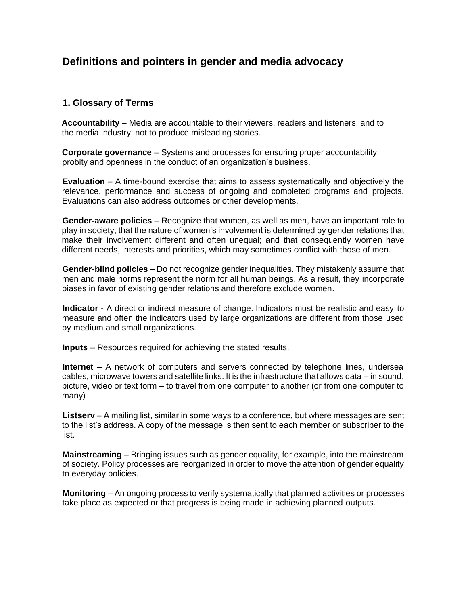# **Definitions and pointers in gender and media advocacy**

# **1. Glossary of Terms**

**Accountability –** Media are accountable to their viewers, readers and listeners, and to the media industry, not to produce misleading stories.

**Corporate governance** – Systems and processes for ensuring proper accountability, probity and openness in the conduct of an organization's business.

**Evaluation** – A time-bound exercise that aims to assess systematically and objectively the relevance, performance and success of ongoing and completed programs and projects. Evaluations can also address outcomes or other developments.

**Gender-aware policies** – Recognize that women, as well as men, have an important role to play in society; that the nature of women's involvement is determined by gender relations that make their involvement different and often unequal; and that consequently women have different needs, interests and priorities, which may sometimes conflict with those of men.

**Gender-blind policies** – Do not recognize gender inequalities. They mistakenly assume that men and male norms represent the norm for all human beings. As a result, they incorporate biases in favor of existing gender relations and therefore exclude women.

**Indicator -** A direct or indirect measure of change. Indicators must be realistic and easy to measure and often the indicators used by large organizations are different from those used by medium and small organizations.

**Inputs** – Resources required for achieving the stated results.

**Internet** – A network of computers and servers connected by telephone lines, undersea cables, microwave towers and satellite links. It is the infrastructure that allows data – in sound, picture, video or text form – to travel from one computer to another (or from one computer to many)

**Listserv** – A mailing list, similar in some ways to a conference, but where messages are sent to the list's address. A copy of the message is then sent to each member or subscriber to the list.

**Mainstreaming** – Bringing issues such as gender equality, for example, into the mainstream of society. Policy processes are reorganized in order to move the attention of gender equality to everyday policies.

**Monitoring** – An ongoing process to verify systematically that planned activities or processes take place as expected or that progress is being made in achieving planned outputs.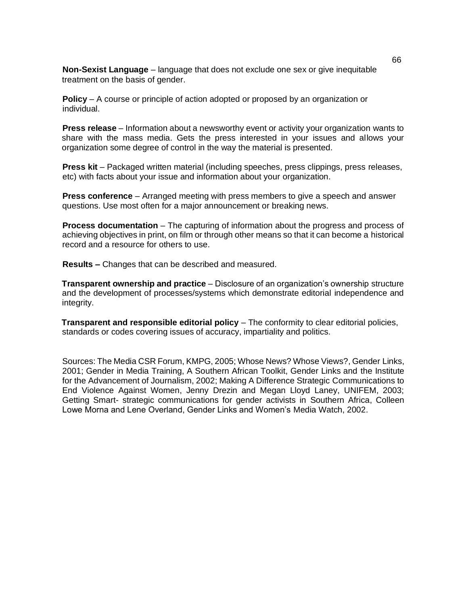**Non-Sexist Language** – language that does not exclude one sex or give inequitable treatment on the basis of gender.

**Policy** – A course or principle of action adopted or proposed by an organization or individual.

**Press release** – Information about a newsworthy event or activity your organization wants to share with the mass media. Gets the press interested in your issues and allows your organization some degree of control in the way the material is presented.

**Press kit** – Packaged written material (including speeches, press clippings, press releases, etc) with facts about your issue and information about your organization.

**Press conference** – Arranged meeting with press members to give a speech and answer questions. Use most often for a major announcement or breaking news.

**Process documentation** – The capturing of information about the progress and process of achieving objectives in print, on film or through other means so that it can become a historical record and a resource for others to use.

**Results –** Changes that can be described and measured.

**Transparent ownership and practice** – Disclosure of an organization's ownership structure and the development of processes/systems which demonstrate editorial independence and integrity.

**Transparent and responsible editorial policy** – The conformity to clear editorial policies, standards or codes covering issues of accuracy, impartiality and politics.

Sources: The Media CSR Forum, KMPG, 2005; Whose News? Whose Views?, Gender Links, 2001; Gender in Media Training, A Southern African Toolkit, Gender Links and the Institute for the Advancement of Journalism, 2002; Making A Difference Strategic Communications to End Violence Against Women, Jenny Drezin and Megan Lloyd Laney, UNIFEM, 2003; Getting Smart- strategic communications for gender activists in Southern Africa, Colleen Lowe Morna and Lene Overland, Gender Links and Women's Media Watch, 2002.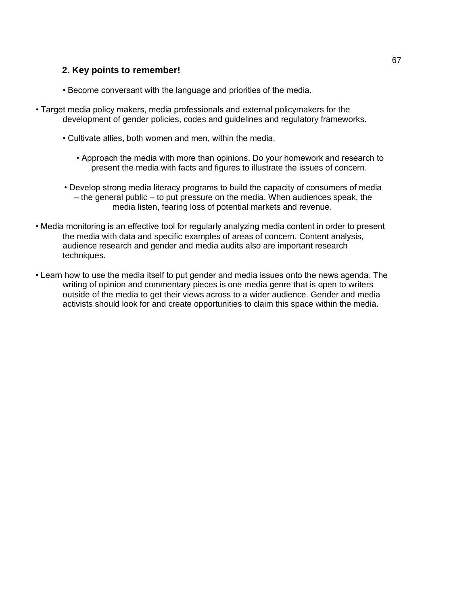# **2. Key points to remember!**

- Become conversant with the language and priorities of the media.
- Target media policy makers, media professionals and external policymakers for the development of gender policies, codes and guidelines and regulatory frameworks.
	- Cultivate allies, both women and men, within the media.
		- Approach the media with more than opinions. Do your homework and research to present the media with facts and figures to illustrate the issues of concern.
	- Develop strong media literacy programs to build the capacity of consumers of media – the general public – to put pressure on the media. When audiences speak, the media listen, fearing loss of potential markets and revenue.
- Media monitoring is an effective tool for regularly analyzing media content in order to present the media with data and specific examples of areas of concern. Content analysis, audience research and gender and media audits also are important research techniques.
- Learn how to use the media itself to put gender and media issues onto the news agenda. The writing of opinion and commentary pieces is one media genre that is open to writers outside of the media to get their views across to a wider audience. Gender and media activists should look for and create opportunities to claim this space within the media.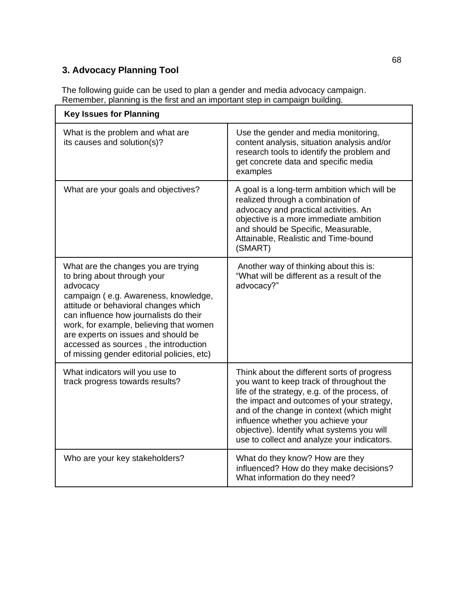# **3. Advocacy Planning Tool**

The following guide can be used to plan a gender and media advocacy campaign. Remember, planning is the first and an important step in campaign building.

| <b>Key Issues for Planning</b>                                                                                                                                                                                                                                                                                                                                                    |                                                                                                                                                                                                                                                                                                                                                                       |
|-----------------------------------------------------------------------------------------------------------------------------------------------------------------------------------------------------------------------------------------------------------------------------------------------------------------------------------------------------------------------------------|-----------------------------------------------------------------------------------------------------------------------------------------------------------------------------------------------------------------------------------------------------------------------------------------------------------------------------------------------------------------------|
| What is the problem and what are<br>its causes and solution(s)?                                                                                                                                                                                                                                                                                                                   | Use the gender and media monitoring,<br>content analysis, situation analysis and/or<br>research tools to identify the problem and<br>get concrete data and specific media<br>examples                                                                                                                                                                                 |
| What are your goals and objectives?                                                                                                                                                                                                                                                                                                                                               | A goal is a long-term ambition which will be<br>realized through a combination of<br>advocacy and practical activities. An<br>objective is a more immediate ambition<br>and should be Specific, Measurable,<br>Attainable, Realistic and Time-bound<br>(SMART)                                                                                                        |
| What are the changes you are trying<br>to bring about through your<br>advocacy<br>campaign (e.g. Awareness, knowledge,<br>attitude or behavioral changes which<br>can influence how journalists do their<br>work, for example, believing that women<br>are experts on issues and should be<br>accessed as sources, the introduction<br>of missing gender editorial policies, etc) | Another way of thinking about this is:<br>"What will be different as a result of the<br>advocacy?"                                                                                                                                                                                                                                                                    |
| What indicators will you use to<br>track progress towards results?                                                                                                                                                                                                                                                                                                                | Think about the different sorts of progress<br>you want to keep track of throughout the<br>life of the strategy, e.g. of the process, of<br>the impact and outcomes of your strategy,<br>and of the change in context (which might<br>influence whether you achieve your<br>objective). Identify what systems you will<br>use to collect and analyze your indicators. |
| Who are your key stakeholders?                                                                                                                                                                                                                                                                                                                                                    | What do they know? How are they<br>influenced? How do they make decisions?<br>What information do they need?                                                                                                                                                                                                                                                          |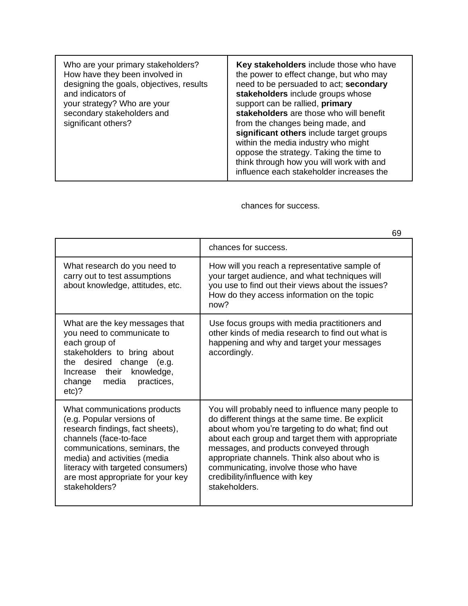| Who are your primary stakeholders?<br>How have they been involved in<br>designing the goals, objectives, results<br>and indicators of<br>your strategy? Who are your<br>secondary stakeholders and<br>significant others? | Key stakeholders include those who have<br>the power to effect change, but who may<br>need to be persuaded to act; secondary<br>stakeholders include groups whose<br>support can be rallied, primary<br>stakeholders are those who will benefit<br>from the changes being made, and<br>significant others include target groups<br>within the media industry who might<br>oppose the strategy. Taking the time to<br>think through how you will work with and<br>influence each stakeholder increases the |
|---------------------------------------------------------------------------------------------------------------------------------------------------------------------------------------------------------------------------|-----------------------------------------------------------------------------------------------------------------------------------------------------------------------------------------------------------------------------------------------------------------------------------------------------------------------------------------------------------------------------------------------------------------------------------------------------------------------------------------------------------|
|---------------------------------------------------------------------------------------------------------------------------------------------------------------------------------------------------------------------------|-----------------------------------------------------------------------------------------------------------------------------------------------------------------------------------------------------------------------------------------------------------------------------------------------------------------------------------------------------------------------------------------------------------------------------------------------------------------------------------------------------------|

chances for success.

|                                                                                                                                                                                                                                                                                     | 69                                                                                                                                                                                                                                                                                                                                                                                                       |
|-------------------------------------------------------------------------------------------------------------------------------------------------------------------------------------------------------------------------------------------------------------------------------------|----------------------------------------------------------------------------------------------------------------------------------------------------------------------------------------------------------------------------------------------------------------------------------------------------------------------------------------------------------------------------------------------------------|
|                                                                                                                                                                                                                                                                                     | chances for success.                                                                                                                                                                                                                                                                                                                                                                                     |
| What research do you need to<br>carry out to test assumptions<br>about knowledge, attitudes, etc.                                                                                                                                                                                   | How will you reach a representative sample of<br>your target audience, and what techniques will<br>you use to find out their views about the issues?<br>How do they access information on the topic<br>now?                                                                                                                                                                                              |
| What are the key messages that<br>you need to communicate to<br>each group of<br>stakeholders to bring about<br>the desired change (e.g.<br>Increase their<br>knowledge,<br>media<br>practices,<br>change<br>$etc$ ?                                                                | Use focus groups with media practitioners and<br>other kinds of media research to find out what is<br>happening and why and target your messages<br>accordingly.                                                                                                                                                                                                                                         |
| What communications products<br>(e.g. Popular versions of<br>research findings, fact sheets),<br>channels (face-to-face<br>communications, seminars, the<br>media) and activities (media<br>literacy with targeted consumers)<br>are most appropriate for your key<br>stakeholders? | You will probably need to influence many people to<br>do different things at the same time. Be explicit<br>about whom you're targeting to do what; find out<br>about each group and target them with appropriate<br>messages, and products conveyed through<br>appropriate channels. Think also about who is<br>communicating, involve those who have<br>credibility/influence with key<br>stakeholders. |

 $60$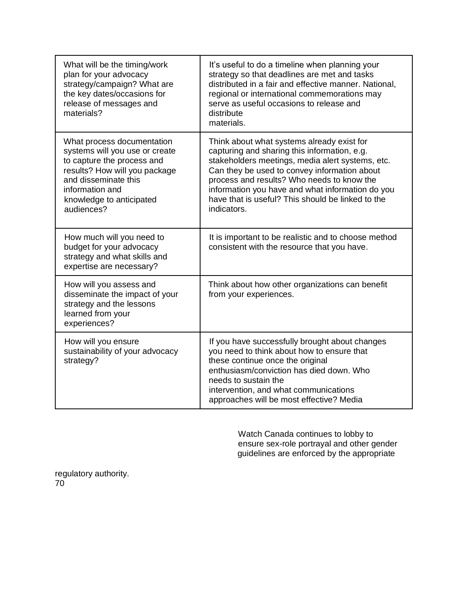| What will be the timing/work<br>plan for your advocacy<br>strategy/campaign? What are<br>the key dates/occasions for<br>release of messages and<br>materials?                                                    | It's useful to do a timeline when planning your<br>strategy so that deadlines are met and tasks<br>distributed in a fair and effective manner. National,<br>regional or international commemorations may<br>serve as useful occasions to release and<br>distribute<br>materials.                                                                                     |
|------------------------------------------------------------------------------------------------------------------------------------------------------------------------------------------------------------------|----------------------------------------------------------------------------------------------------------------------------------------------------------------------------------------------------------------------------------------------------------------------------------------------------------------------------------------------------------------------|
| What process documentation<br>systems will you use or create<br>to capture the process and<br>results? How will you package<br>and disseminate this<br>information and<br>knowledge to anticipated<br>audiences? | Think about what systems already exist for<br>capturing and sharing this information, e.g.<br>stakeholders meetings, media alert systems, etc.<br>Can they be used to convey information about<br>process and results? Who needs to know the<br>information you have and what information do you<br>have that is useful? This should be linked to the<br>indicators. |
| How much will you need to<br>budget for your advocacy<br>strategy and what skills and<br>expertise are necessary?                                                                                                | It is important to be realistic and to choose method<br>consistent with the resource that you have.                                                                                                                                                                                                                                                                  |
| How will you assess and<br>disseminate the impact of your<br>strategy and the lessons<br>learned from your<br>experiences?                                                                                       | Think about how other organizations can benefit<br>from your experiences.                                                                                                                                                                                                                                                                                            |
| How will you ensure<br>sustainability of your advocacy<br>strategy?                                                                                                                                              | If you have successfully brought about changes<br>you need to think about how to ensure that<br>these continue once the original<br>enthusiasm/conviction has died down. Who<br>needs to sustain the<br>intervention, and what communications<br>approaches will be most effective? Media                                                                            |

Watch Canada continues to lobby to ensure sex-role portrayal and other gender guidelines are enforced by the appropriate

regulatory authority. 70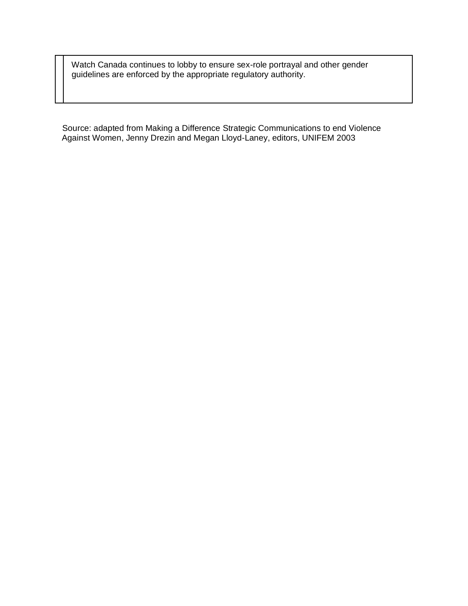Watch Canada continues to lobby to ensure sex-role portrayal and other gender guidelines are enforced by the appropriate regulatory authority.

Source: adapted from Making a Difference Strategic Communications to end Violence Against Women, Jenny Drezin and Megan Lloyd-Laney, editors, UNIFEM 2003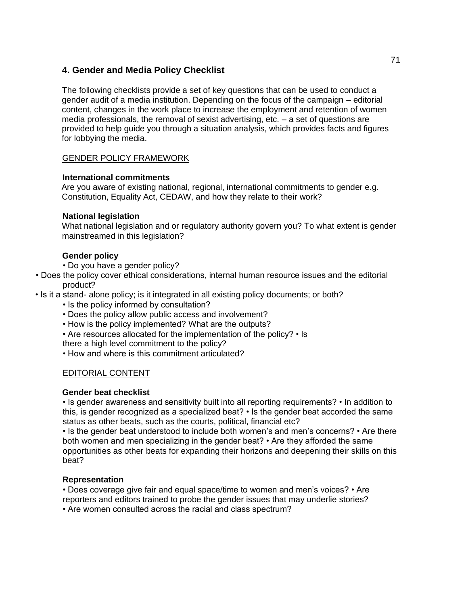# **4. Gender and Media Policy Checklist**

The following checklists provide a set of key questions that can be used to conduct a gender audit of a media institution. Depending on the focus of the campaign – editorial content, changes in the work place to increase the employment and retention of women media professionals, the removal of sexist advertising, etc. – a set of questions are provided to help guide you through a situation analysis, which provides facts and figures for lobbying the media.

## GENDER POLICY FRAMEWORK

#### **International commitments**

Are you aware of existing national, regional, international commitments to gender e.g. Constitution, Equality Act, CEDAW, and how they relate to their work?

## **National legislation**

What national legislation and or regulatory authority govern you? To what extent is gender mainstreamed in this legislation?

# **Gender policy**

• Do you have a gender policy?

- Does the policy cover ethical considerations, internal human resource issues and the editorial product?
- Is it a stand- alone policy; is it integrated in all existing policy documents; or both?
	- Is the policy informed by consultation?
	- Does the policy allow public access and involvement?
	- How is the policy implemented? What are the outputs?
	- Are resources allocated for the implementation of the policy? Is
	- there a high level commitment to the policy?
	- How and where is this commitment articulated?

# EDITORIAL CONTENT

#### **Gender beat checklist**

• Is gender awareness and sensitivity built into all reporting requirements? • In addition to this, is gender recognized as a specialized beat? • Is the gender beat accorded the same status as other beats, such as the courts, political, financial etc?

• Is the gender beat understood to include both women's and men's concerns? • Are there both women and men specializing in the gender beat? • Are they afforded the same opportunities as other beats for expanding their horizons and deepening their skills on this beat?

# **Representation**

• Does coverage give fair and equal space/time to women and men's voices? • Are reporters and editors trained to probe the gender issues that may underlie stories?

• Are women consulted across the racial and class spectrum?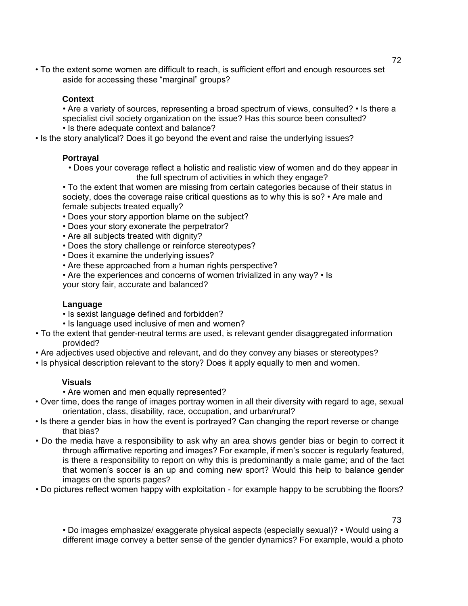• To the extent some women are difficult to reach, is sufficient effort and enough resources set aside for accessing these "marginal" groups?

# **Context**

• Are a variety of sources, representing a broad spectrum of views, consulted? • Is there a specialist civil society organization on the issue? Has this source been consulted? • Is there adequate context and balance?

• Is the story analytical? Does it go beyond the event and raise the underlying issues?

# **Portrayal**

• Does your coverage reflect a holistic and realistic view of women and do they appear in the full spectrum of activities in which they engage?

• To the extent that women are missing from certain categories because of their status in society, does the coverage raise critical questions as to why this is so? • Are male and female subjects treated equally?

- Does your story apportion blame on the subject?
- Does your story exonerate the perpetrator?
- Are all subjects treated with dignity?
- Does the story challenge or reinforce stereotypes?
- Does it examine the underlying issues?
- Are these approached from a human rights perspective?
- Are the experiences and concerns of women trivialized in any way? Is your story fair, accurate and balanced?

# **Language**

- Is sexist language defined and forbidden?
- Is language used inclusive of men and women?
- To the extent that gender-neutral terms are used, is relevant gender disaggregated information provided?
- Are adjectives used objective and relevant, and do they convey any biases or stereotypes?
- Is physical description relevant to the story? Does it apply equally to men and women.

# **Visuals**

• Are women and men equally represented?

- Over time, does the range of images portray women in all their diversity with regard to age, sexual orientation, class, disability, race, occupation, and urban/rural?
- Is there a gender bias in how the event is portrayed? Can changing the report reverse or change that bias?
- Do the media have a responsibility to ask why an area shows gender bias or begin to correct it through affirmative reporting and images? For example, if men's soccer is regularly featured, is there a responsibility to report on why this is predominantly a male game; and of the fact that women's soccer is an up and coming new sport? Would this help to balance gender images on the sports pages?
- Do pictures reflect women happy with exploitation for example happy to be scrubbing the floors?

73

• Do images emphasize/ exaggerate physical aspects (especially sexual)? • Would using a different image convey a better sense of the gender dynamics? For example, would a photo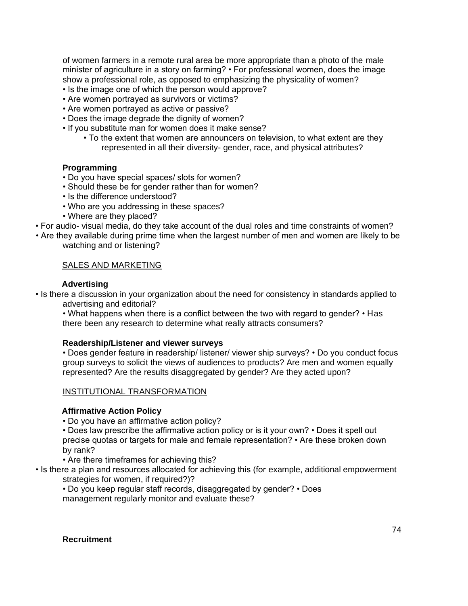of women farmers in a remote rural area be more appropriate than a photo of the male minister of agriculture in a story on farming? • For professional women, does the image show a professional role, as opposed to emphasizing the physicality of women?

- Is the image one of which the person would approve?
- Are women portrayed as survivors or victims?
- Are women portrayed as active or passive?
- Does the image degrade the dignity of women?
- If you substitute man for women does it make sense?
	- To the extent that women are announcers on television, to what extent are they represented in all their diversity- gender, race, and physical attributes?

## **Programming**

- Do you have special spaces/ slots for women?
- Should these be for gender rather than for women?
- Is the difference understood?
- Who are you addressing in these spaces?
- Where are they placed?
- For audio- visual media, do they take account of the dual roles and time constraints of women?
- Are they available during prime time when the largest number of men and women are likely to be watching and or listening?

## SALES AND MARKETING

## **Advertising**

• Is there a discussion in your organization about the need for consistency in standards applied to advertising and editorial?

• What happens when there is a conflict between the two with regard to gender? • Has there been any research to determine what really attracts consumers?

#### **Readership/Listener and viewer surveys**

• Does gender feature in readership/ listener/ viewer ship surveys? • Do you conduct focus group surveys to solicit the views of audiences to products? Are men and women equally represented? Are the results disaggregated by gender? Are they acted upon?

#### INSTITUTIONAL TRANSFORMATION

#### **Affirmative Action Policy**

• Do you have an affirmative action policy?

• Does law prescribe the affirmative action policy or is it your own? • Does it spell out precise quotas or targets for male and female representation? • Are these broken down by rank?

• Are there timeframes for achieving this?

- Is there a plan and resources allocated for achieving this (for example, additional empowerment strategies for women, if required?)?
	- Do you keep regular staff records, disaggregated by gender? Does management regularly monitor and evaluate these?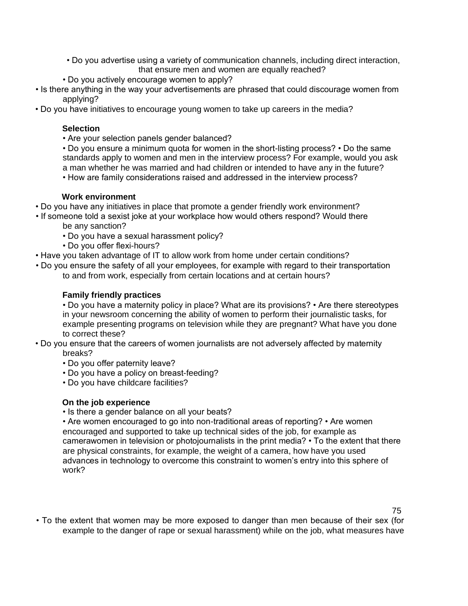- Do you advertise using a variety of communication channels, including direct interaction, that ensure men and women are equally reached?
- Do you actively encourage women to apply?
- Is there anything in the way your advertisements are phrased that could discourage women from applying?
- Do you have initiatives to encourage young women to take up careers in the media?

## **Selection**

- Are your selection panels gender balanced?
- Do you ensure a minimum quota for women in the short-listing process? Do the same standards apply to women and men in the interview process? For example, would you ask a man whether he was married and had children or intended to have any in the future?
- How are family considerations raised and addressed in the interview process?

## **Work environment**

- Do you have any initiatives in place that promote a gender friendly work environment?
- If someone told a sexist joke at your workplace how would others respond? Would there be any sanction?
	- Do you have a sexual harassment policy?
	- Do you offer flexi-hours?
- Have you taken advantage of IT to allow work from home under certain conditions?
- Do you ensure the safety of all your employees, for example with regard to their transportation to and from work, especially from certain locations and at certain hours?

## **Family friendly practices**

• Do you have a maternity policy in place? What are its provisions? • Are there stereotypes in your newsroom concerning the ability of women to perform their journalistic tasks, for example presenting programs on television while they are pregnant? What have you done to correct these?

- Do you ensure that the careers of women journalists are not adversely affected by maternity breaks?
	- Do you offer paternity leave?
	- Do you have a policy on breast-feeding?
	- Do you have childcare facilities?

# **On the job experience**

• Is there a gender balance on all your beats?

• Are women encouraged to go into non-traditional areas of reporting? • Are women encouraged and supported to take up technical sides of the job, for example as camerawomen in television or photojournalists in the print media? • To the extent that there are physical constraints, for example, the weight of a camera, how have you used advances in technology to overcome this constraint to women's entry into this sphere of work?

75

• To the extent that women may be more exposed to danger than men because of their sex (for example to the danger of rape or sexual harassment) while on the job, what measures have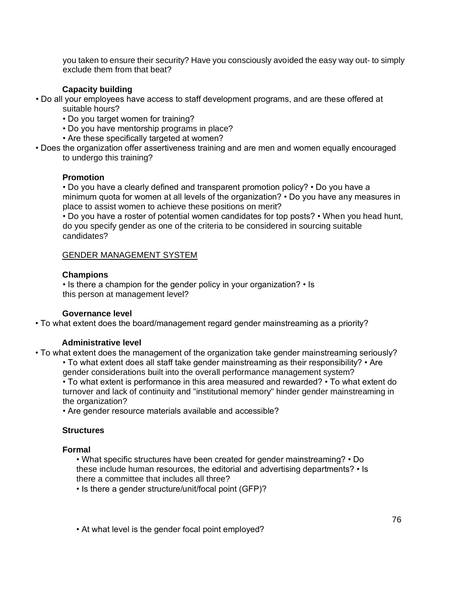you taken to ensure their security? Have you consciously avoided the easy way out- to simply exclude them from that beat?

## **Capacity building**

- Do all your employees have access to staff development programs, and are these offered at suitable hours?
	- Do you target women for training?
	- Do you have mentorship programs in place?
	- Are these specifically targeted at women?
- Does the organization offer assertiveness training and are men and women equally encouraged to undergo this training?

#### **Promotion**

• Do you have a clearly defined and transparent promotion policy? • Do you have a minimum quota for women at all levels of the organization? • Do you have any measures in place to assist women to achieve these positions on merit?

• Do you have a roster of potential women candidates for top posts? • When you head hunt, do you specify gender as one of the criteria to be considered in sourcing suitable candidates?

#### GENDER MANAGEMENT SYSTEM

#### **Champions**

• Is there a champion for the gender policy in your organization? • Is this person at management level?

#### **Governance level**

• To what extent does the board/management regard gender mainstreaming as a priority?

#### **Administrative level**

• To what extent does the management of the organization take gender mainstreaming seriously? • To what extent does all staff take gender mainstreaming as their responsibility? • Are

gender considerations built into the overall performance management system?

• To what extent is performance in this area measured and rewarded? • To what extent do turnover and lack of continuity and "institutional memory" hinder gender mainstreaming in the organization?

• Are gender resource materials available and accessible?

#### **Structures**

#### **Formal**

• What specific structures have been created for gender mainstreaming? • Do these include human resources, the editorial and advertising departments? • Is there a committee that includes all three?

• Is there a gender structure/unit/focal point (GFP)?

• At what level is the gender focal point employed?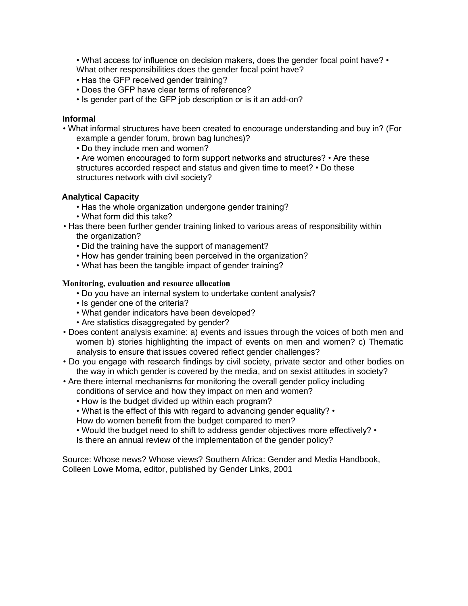• What access to/ influence on decision makers, does the gender focal point have? • What other responsibilities does the gender focal point have?

- Has the GFP received gender training?
- Does the GFP have clear terms of reference?
- Is gender part of the GFP job description or is it an add-on?

#### **Informal**

• What informal structures have been created to encourage understanding and buy in? (For example a gender forum, brown bag lunches)?

• Do they include men and women?

• Are women encouraged to form support networks and structures? • Are these structures accorded respect and status and given time to meet? • Do these structures network with civil society?

## **Analytical Capacity**

- Has the whole organization undergone gender training?
- What form did this take?
- Has there been further gender training linked to various areas of responsibility within the organization?
	- Did the training have the support of management?
	- How has gender training been perceived in the organization?
	- What has been the tangible impact of gender training?

#### **Monitoring, evaluation and resource allocation**

- Do you have an internal system to undertake content analysis?
- Is gender one of the criteria?
- What gender indicators have been developed?
- Are statistics disaggregated by gender?
- Does content analysis examine: a) events and issues through the voices of both men and women b) stories highlighting the impact of events on men and women? c) Thematic analysis to ensure that issues covered reflect gender challenges?
- Do you engage with research findings by civil society, private sector and other bodies on the way in which gender is covered by the media, and on sexist attitudes in society?
- Are there internal mechanisms for monitoring the overall gender policy including conditions of service and how they impact on men and women?
	- How is the budget divided up within each program?
	- What is the effect of this with regard to advancing gender equality? •
	- How do women benefit from the budget compared to men?
	- Would the budget need to shift to address gender objectives more effectively? Is there an annual review of the implementation of the gender policy?

Source: Whose news? Whose views? Southern Africa: Gender and Media Handbook, Colleen Lowe Morna, editor, published by Gender Links, 2001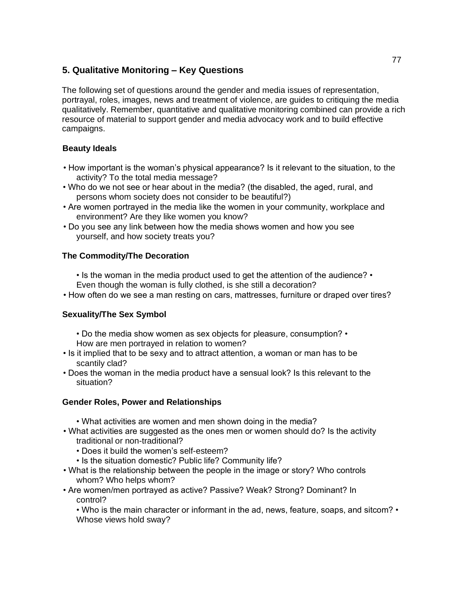# **5. Qualitative Monitoring – Key Questions**

The following set of questions around the gender and media issues of representation, portrayal, roles, images, news and treatment of violence, are guides to critiquing the media qualitatively. Remember, quantitative and qualitative monitoring combined can provide a rich resource of material to support gender and media advocacy work and to build effective campaigns.

# **Beauty Ideals**

- How important is the woman's physical appearance? Is it relevant to the situation, to the activity? To the total media message?
- Who do we not see or hear about in the media? (the disabled, the aged, rural, and persons whom society does not consider to be beautiful?)
- Are women portrayed in the media like the women in your community, workplace and environment? Are they like women you know?
- Do you see any link between how the media shows women and how you see yourself, and how society treats you?

# **The Commodity/The Decoration**

• Is the woman in the media product used to get the attention of the audience? • Even though the woman is fully clothed, is she still a decoration?

• How often do we see a man resting on cars, mattresses, furniture or draped over tires?

# **Sexuality/The Sex Symbol**

- Do the media show women as sex objects for pleasure, consumption? •
- How are men portrayed in relation to women?
- Is it implied that to be sexy and to attract attention, a woman or man has to be scantily clad?
- Does the woman in the media product have a sensual look? Is this relevant to the situation?

# **Gender Roles, Power and Relationships**

- What activities are women and men shown doing in the media?
- What activities are suggested as the ones men or women should do? Is the activity traditional or non-traditional?
	- Does it build the women's self-esteem?
	- Is the situation domestic? Public life? Community life?
- What is the relationship between the people in the image or story? Who controls whom? Who helps whom?
- Are women/men portrayed as active? Passive? Weak? Strong? Dominant? In control?

• Who is the main character or informant in the ad, news, feature, soaps, and sitcom? • Whose views hold sway?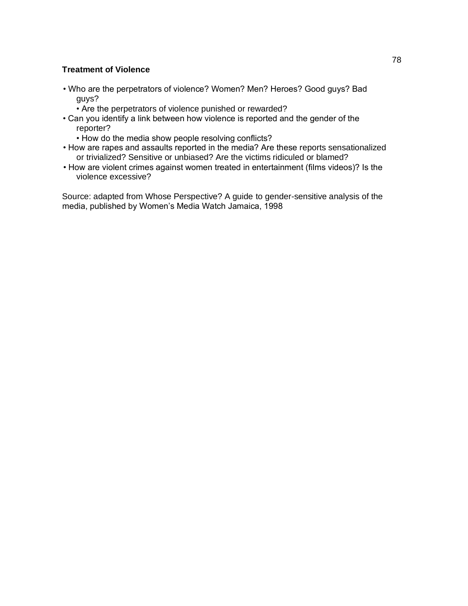## **Treatment of Violence**

- Who are the perpetrators of violence? Women? Men? Heroes? Good guys? Bad guys?
	- Are the perpetrators of violence punished or rewarded?
- Can you identify a link between how violence is reported and the gender of the reporter?
	- How do the media show people resolving conflicts?
- How are rapes and assaults reported in the media? Are these reports sensationalized or trivialized? Sensitive or unbiased? Are the victims ridiculed or blamed?
- How are violent crimes against women treated in entertainment (films videos)? Is the violence excessive?

Source: adapted from Whose Perspective? A guide to gender-sensitive analysis of the media, published by Women's Media Watch Jamaica, 1998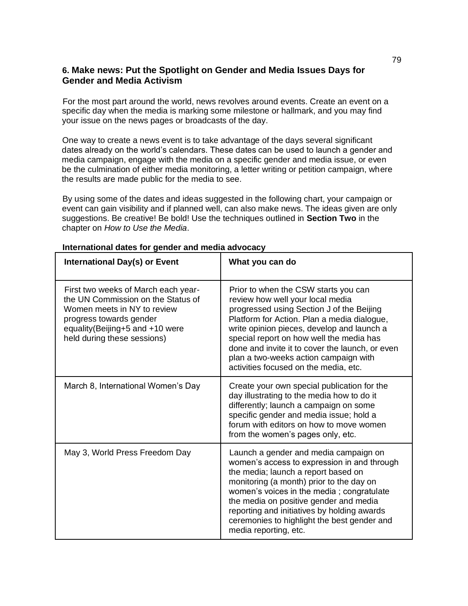# **6. Make news: Put the Spotlight on Gender and Media Issues Days for Gender and Media Activism**

For the most part around the world, news revolves around events. Create an event on a specific day when the media is marking some milestone or hallmark, and you may find your issue on the news pages or broadcasts of the day.

One way to create a news event is to take advantage of the days several significant dates already on the world's calendars. These dates can be used to launch a gender and media campaign, engage with the media on a specific gender and media issue, or even be the culmination of either media monitoring, a letter writing or petition campaign, where the results are made public for the media to see.

By using some of the dates and ideas suggested in the following chart, your campaign or event can gain visibility and if planned well, can also make news. The ideas given are only suggestions. Be creative! Be bold! Use the techniques outlined in **Section Two** in the chapter on *How to Use the Media*.

| <b>International Day(s) or Event</b>                                                                                                                                                                  | What you can do                                                                                                                                                                                                                                                                                                                                                                                     |
|-------------------------------------------------------------------------------------------------------------------------------------------------------------------------------------------------------|-----------------------------------------------------------------------------------------------------------------------------------------------------------------------------------------------------------------------------------------------------------------------------------------------------------------------------------------------------------------------------------------------------|
| First two weeks of March each year-<br>the UN Commission on the Status of<br>Women meets in NY to review<br>progress towards gender<br>equality(Beijing+5 and +10 were<br>held during these sessions) | Prior to when the CSW starts you can<br>review how well your local media<br>progressed using Section J of the Beijing<br>Platform for Action. Plan a media dialogue,<br>write opinion pieces, develop and launch a<br>special report on how well the media has<br>done and invite it to cover the launch, or even<br>plan a two-weeks action campaign with<br>activities focused on the media, etc. |
| March 8, International Women's Day                                                                                                                                                                    | Create your own special publication for the<br>day illustrating to the media how to do it<br>differently; launch a campaign on some<br>specific gender and media issue; hold a<br>forum with editors on how to move women<br>from the women's pages only, etc.                                                                                                                                      |
| May 3, World Press Freedom Day                                                                                                                                                                        | Launch a gender and media campaign on<br>women's access to expression in and through<br>the media; launch a report based on<br>monitoring (a month) prior to the day on<br>women's voices in the media; congratulate<br>the media on positive gender and media<br>reporting and initiatives by holding awards<br>ceremonies to highlight the best gender and<br>media reporting, etc.               |

#### **International dates for gender and media advocacy**